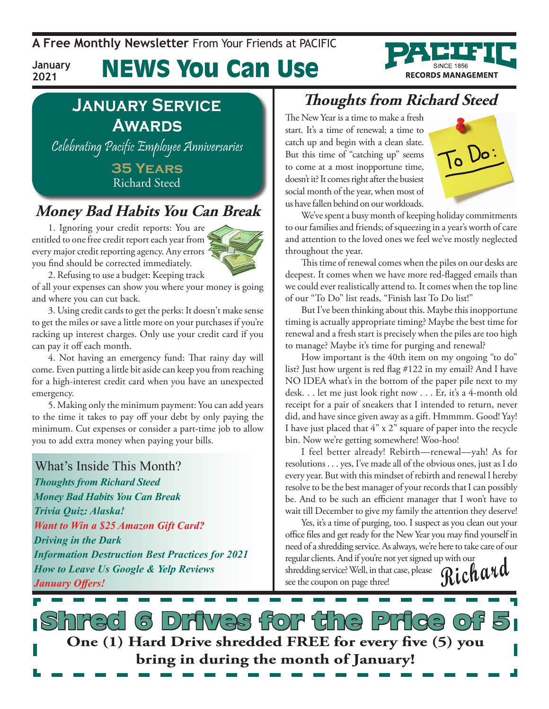**A Free Monthly Newsletter** From Your Friends at Pacific

# News You Can Use

### **January Service Awards**

**January 2021**

Celebrating Pacific Employee Anniversaries

**35 Years** Richard Steed

### **Money Bad Habits You Can Break**

1. Ignoring your credit reports: You are entitled to one free credit report each year from every major credit reporting agency. Any errors you find should be corrected immediately.



2. Refusing to use a budget: Keeping track

of all your expenses can show you where your money is going and where you can cut back.

3. Using credit cards to get the perks: It doesn't make sense to get the miles or save a little more on your purchases if you're racking up interest charges. Only use your credit card if you can pay it off each month.

4. Not having an emergency fund: That rainy day will come. Even putting a little bit aside can keep you from reaching for a high-interest credit card when you have an unexpected emergency.

5. Making only the minimum payment: You can add years to the time it takes to pay off your debt by only paying the minimum. Cut expenses or consider a part-time job to allow you to add extra money when paying your bills.

#### What's Inside This Month?

*Thoughts from Richard Steed Money Bad Habits You Can Break Trivia Quiz: Alaska! Want to Win a \$25 Amazon Gift Card? Driving in the Dark Information Destruction Best Practices for 2021 How to Leave Us Google & Yelp Reviews January Offers!*

### **Thoughts from Richard Steed**

The New Year is a time to make a fresh start. It's a time of renewal; a time to catch up and begin with a clean slate. But this time of "catching up" seems to come at a most inopportune time, doesn't it? It comes right after the busiest social month of the year, when most of us have fallen behind on our workloads.



**RECORDS MANAGEMENT** 

We've spent a busy month of keeping holiday commitments to our families and friends; of squeezing in a year's worth of care and attention to the loved ones we feel we've mostly neglected throughout the year.

This time of renewal comes when the piles on our desks are deepest. It comes when we have more red-flagged emails than we could ever realistically attend to. It comes when the top line of our "To Do" list reads, "Finish last To Do list!"

But I've been thinking about this. Maybe this inopportune timing is actually appropriate timing? Maybe the best time for renewal and a fresh start is precisely when the piles are too high to manage? Maybe it's time for purging and renewal?

How important is the 40th item on my ongoing "to do" list? Just how urgent is red flag #122 in my email? And I have NO IDEA what's in the bottom of the paper pile next to my desk. . . let me just look right now . . . Er, it's a 4-month old receipt for a pair of sneakers that I intended to return, never did, and have since given away as a gift. Hmmmm. Good! Yay! I have just placed that 4" x 2" square of paper into the recycle bin. Now we're getting somewhere! Woo-hoo!

I feel better already! Rebirth—renewal—yah! As for resolutions . . . yes, I've made all of the obvious ones, just as I do every year. But with this mindset of rebirth and renewal I hereby resolve to be the best manager of your records that I can possibly be. And to be such an efficient manager that I won't have to wait till December to give my family the attention they deserve!

Yes, it's a time of purging, too. I suspect as you clean out your office files and get ready for the New Year you may find yourself in need of a shredding service. As always, we're here to take care of our regular clients. And if you're not yet signed up with our **Richard**

shredding service? Well, in that case, please see the coupon on page three!

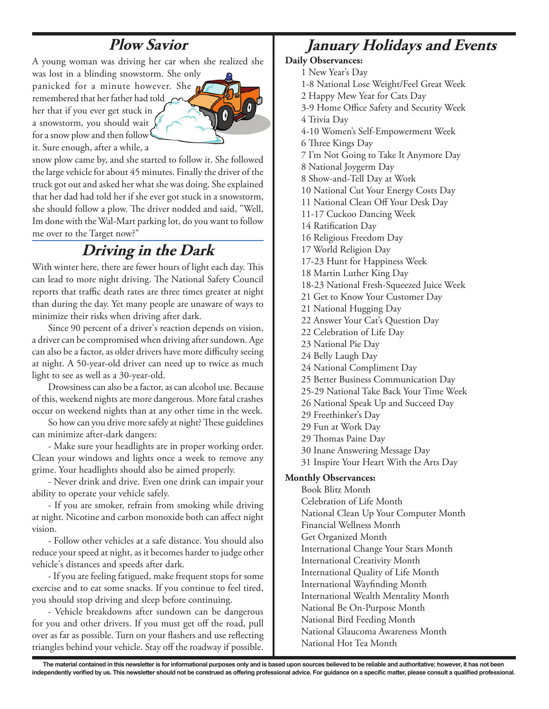### **Plow Savior**

A young woman was driving her car when she realized she

was lost in a blinding snowstorm. She only panicked for a minute however. She a remembered that her father had told her that if you ever get stuck in a snowstorm, you should wait for a snow plow and then follow<sup>1</sup> it. Sure enough, after a while, a



snow plow came by, and she started to follow it. She followed the large vehicle for about 45 minutes. Finally the driver of the truck got out and asked her what she was doing. She explained that her dad had told her if she ever got stuck in a snowstorm, she should follow a plow. The driver nodded and said, "Well, Im done with the Wal-Mart parking lot, do you want to follow me over to the Target now?"

### **Driving in the Dark**

With winter here, there are fewer hours of light each day. This can lead to more night driving. The National Safety Council reports that traffic death rates are three times greater at night than during the day. Yet many people are unaware of ways to minimize their risks when driving after dark.

Since 90 percent of a driver's reaction depends on vision, a driver can be compromised when driving after sundown. Age can also be a factor, as older drivers have more difficulty seeing at night. A 50-year-old driver can need up to twice as much light to see as well as a 30-year-old.

Drowsiness can also be a factor, as can alcohol use. Because of this, weekend nights are more dangerous. More fatal crashes occur on weekend nights than at any other time in the week.

So how can you drive more safely at night? These guidelines can minimize after-dark dangers:

- Make sure your headlights are in proper working order. Clean your windows and lights once a week to remove any grime. Your headlights should also be aimed properly.

- Never drink and drive. Even one drink can impair your ability to operate your vehicle safely.

- If you are smoker, refrain from smoking while driving at night. Nicotine and carbon monoxide both can affect night vision.

- Follow other vehicles at a safe distance. You should also reduce your speed at night, as it becomes harder to judge other vehicle's distances and speeds after dark.

- If you are feeling fatigued, make frequent stops for some exercise and to eat some snacks. If you continue to feel tired, you should stop driving and sleep before continuing.

- Vehicle breakdowns after sundown can be dangerous for you and other drivers. If you must get off the road, pull over as far as possible. Turn on your flashers and use reflecting triangles behind your vehicle. Stay off the roadway if possible.

### **January Holidays and Events**

**Daily Observances:**

1 New Year's Day

- 1-8 National Lose Weight/Feel Great Week
- 2 Happy Mew Year for Cats Day
- 3-9 Home Office Safety and Security Week
- 4 Trivia Day
- 4-10 Women's Self-Empowerment Week
- 6 Three Kings Day
- 7 I'm Not Going to Take It Anymore Day
- 8 National Joygerm Day
- 8 Show-and-Tell Day at Work
- 10 National Cut Your Energy Costs Day
- 11 National Clean Off Your Desk Day
- 11-17 Cuckoo Dancing Week
- 14 Ratification Day
- 16 Religious Freedom Day
- 17 World Religion Day
- 17-23 Hunt for Happiness Week
- 18 Martin Luther King Day
- 18-23 National Fresh-Squeezed Juice Week
- 21 Get to Know Your Customer Day
- 21 National Hugging Day
- 22 Answer Your Cat's Question Day
- 22 Celebration of Life Day
- 23 National Pie Day
- 24 Belly Laugh Day
- 24 National Compliment Day
- 25 Better Business Communication Day
- 25-29 National Take Back Your Time Week
- 26 National Speak Up and Succeed Day
- 29 Freethinker's Day
- 29 Fun at Work Day
- 29 Thomas Paine Day
- 30 Inane Answering Message Day
- 31 Inspire Your Heart With the Arts Day

#### **Monthly Observances:**

Book Blitz Month Celebration of Life Month National Clean Up Your Computer Month Financial Wellness Month Get Organized Month International Change Your Stars Month International Creativity Month International Quality of Life Month International Wayfinding Month International Wealth Mentality Month National Be On-Purpose Month National Bird Feeding Month National Glaucoma Awareness Month National Hot Tea Month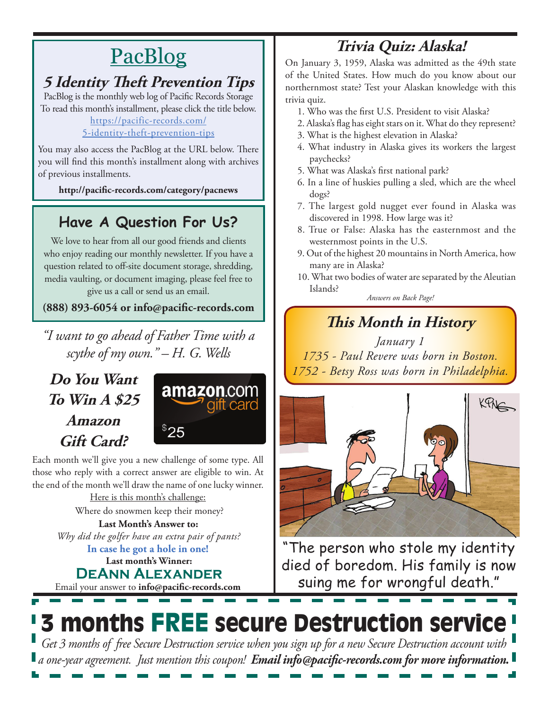# **PacBlog**

### **5 Identity Theft Prevention Tips**

PacBlog is the monthly web log of Pacific Records Storage To read this month's installment, please click the title below[.](http://pacific-records.com/5-advantages-of-a-local-shredding-and-destruction-provider)

[https://pacific-records.com/](https://pacific-records.com/5-identity-theft-prevention-tips)

#### [5-identity-theft-prevention-tips](https://pacific-records.com/5-identity-theft-prevention-tips)

You may also access the PacBlog at the URL below. There you will find this month's installment along with archives of previous installments.

**http://pacific-records.com/category/pacnews**

### **Have A Question For Us?**

We love to hear from all our good friends and clients who enjoy reading our monthly newsletter. If you have a question related to off-site document storage, shredding, media vaulting, or document imaging, please feel free to give us a call or send us an email.

**(888) 893-6054 or info@pacific-records.com**

*"I want to go ahead of Father Time with a scythe of my own." – H. G. Wells*

### **Do You Want To Win A \$25 Amazon Gift Card?**



Each month we'll give you a new challenge of some type. All those who reply with a correct answer are eligible to win. At the end of the month we'll draw the name of one lucky winner. Here is this month's challenge:

Where do snowmen keep their money?

**Last month's Winner: DeAnn Alexander In case he got a hole in one! Last Month's Answer to:**  *Why did the golfer have an extra pair of pants?* 

Email your answer to **info@pacific-records.com**

### **Trivia Quiz: Alaska!**

On January 3, 1959, Alaska was admitted as the 49th state of the United States. How much do you know about our northernmost state? Test your Alaskan knowledge with this trivia quiz.

- 1. Who was the first U.S. President to visit Alaska?
- 2. Alaska's flag has eight stars on it. What do they represent?
- 3. What is the highest elevation in Alaska?
- 4. What industry in Alaska gives its workers the largest paychecks?
- 5. What was Alaska's first national park?
- 6. In a line of huskies pulling a sled, which are the wheel dogs?
- 7. The largest gold nugget ever found in Alaska was discovered in 1998. How large was it?
- 8. True or False: Alaska has the easternmost and the westernmost points in the U.S.
- 9. Out of the highest 20 mountains in North America, how many are in Alaska?
- 10. What two bodies of water are separated by the Aleutian Islands?

*Answers on Back Page!*

### **This Month in History**

*January 1 1735 - Paul Revere was born in Boston. 1752 - Betsy Ross was born in Philadelphia.*



"The person who stole my identity died of boredom. His family is now suing me for wrongful death."